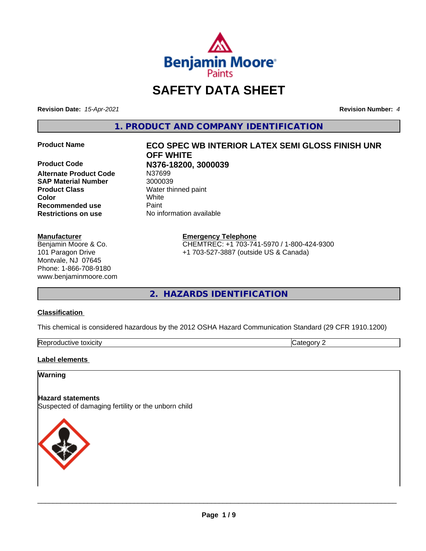

# **SAFETY DATA SHEET**

**Revision Date:** *15-Apr-2021* **Revision Number:** *4*

**1. PRODUCT AND COMPANY IDENTIFICATION**

**Alternate Product Code** N37699 **SAP Material Number** 3000039 **Product Class** Water thinned paint **Color** White **Recommended use Faint Restrictions on use** No information available

#### **Manufacturer**

Benjamin Moore & Co. 101 Paragon Drive Montvale, NJ 07645 Phone: 1-866-708-9180 www.benjaminmoore.com

# **Product Name ECO SPEC WB INTERIOR LATEX SEMI GLOSS FINISH UNR OFF WHITE Product Code N376-18200, 3000039**

#### **Emergency Telephone**

CHEMTREC: +1 703-741-5970 / 1-800-424-9300 +1 703-527-3887 (outside US & Canada)

**2. HAZARDS IDENTIFICATION**

#### **Classification**

This chemical is considered hazardous by the 2012 OSHA Hazard Communication Standard (29 CFR 1910.1200)

| Rep<br>toxicitv<br>. SOLICTIVE |  |
|--------------------------------|--|
|                                |  |

#### **Label elements**

#### **Warning**

#### **Hazard statements**

Suspected of damaging fertility or the unborn child

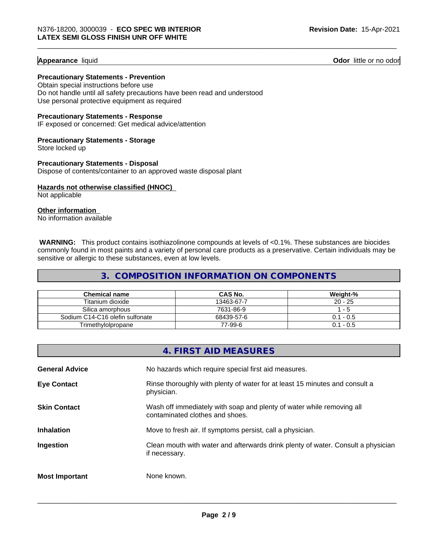**Appearance** liquid **Contract Contract Contract Contract Contract Contract Contract Contract Contract Contract Contract Contract Contract Contract Contract Contract Contract Contract Contract Contract Contract Contract Con** 

**Precautionary Statements - Prevention**

Obtain special instructions before use Do not handle until all safety precautions have been read and understood Use personal protective equipment as required

**Precautionary Statements - Response**

IF exposed or concerned: Get medical advice/attention

**Precautionary Statements - Storage** Store locked up

**Precautionary Statements - Disposal** Dispose of contents/container to an approved waste disposal plant

**Hazards not otherwise classified (HNOC)** Not applicable

**Other information**

No information available

 **WARNING:** This product contains isothiazolinone compounds at levels of <0.1%. These substances are biocides commonly found in most paints and a variety of personal care products as a preservative. Certain individuals may be sensitive or allergic to these substances, even at low levels.

#### **3. COMPOSITION INFORMATION ON COMPONENTS**

| Chemical name                   | <b>CAS No.</b> | Weight-%    |
|---------------------------------|----------------|-------------|
| Titanium dioxide                | 13463-67-7     | $20 - 25$   |
| Silica amorphous                | 7631-86-9      | - 5         |
| Sodium C14-C16 olefin sulfonate | 68439-57-6     | $0.1 - 0.5$ |
| Trimethylolpropane              | 77-99-6        | $0.1 - 0.5$ |

|                       | 4. FIRST AID MEASURES                                                                                    |
|-----------------------|----------------------------------------------------------------------------------------------------------|
| <b>General Advice</b> | No hazards which require special first aid measures.                                                     |
| <b>Eye Contact</b>    | Rinse thoroughly with plenty of water for at least 15 minutes and consult a<br>physician.                |
| <b>Skin Contact</b>   | Wash off immediately with soap and plenty of water while removing all<br>contaminated clothes and shoes. |
| <b>Inhalation</b>     | Move to fresh air. If symptoms persist, call a physician.                                                |
| Ingestion             | Clean mouth with water and afterwards drink plenty of water. Consult a physician<br>if necessary.        |
| <b>Most Important</b> | None known.                                                                                              |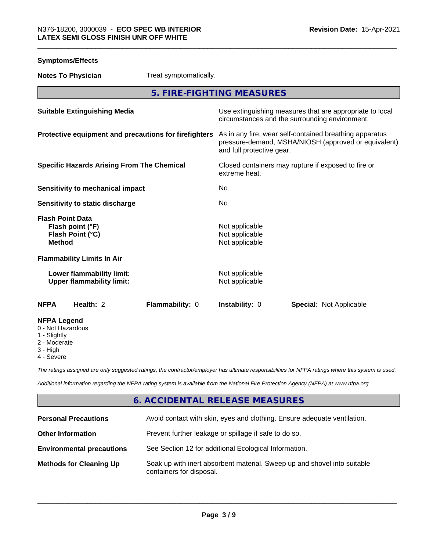| <b>Symptoms/Effects</b>                                                          |                                                                                                                                              |  |
|----------------------------------------------------------------------------------|----------------------------------------------------------------------------------------------------------------------------------------------|--|
| Treat symptomatically.<br><b>Notes To Physician</b>                              |                                                                                                                                              |  |
|                                                                                  | 5. FIRE-FIGHTING MEASURES                                                                                                                    |  |
| <b>Suitable Extinguishing Media</b>                                              | Use extinguishing measures that are appropriate to local<br>circumstances and the surrounding environment.                                   |  |
| Protective equipment and precautions for firefighters                            | As in any fire, wear self-contained breathing apparatus<br>pressure-demand, MSHA/NIOSH (approved or equivalent)<br>and full protective gear. |  |
| <b>Specific Hazards Arising From The Chemical</b>                                | Closed containers may rupture if exposed to fire or<br>extreme heat.                                                                         |  |
| <b>Sensitivity to mechanical impact</b>                                          | No                                                                                                                                           |  |
| Sensitivity to static discharge                                                  | No.                                                                                                                                          |  |
| <b>Flash Point Data</b><br>Flash point (°F)<br>Flash Point (°C)<br><b>Method</b> | Not applicable<br>Not applicable<br>Not applicable                                                                                           |  |
| <b>Flammability Limits In Air</b>                                                |                                                                                                                                              |  |
| Lower flammability limit:<br><b>Upper flammability limit:</b>                    | Not applicable<br>Not applicable                                                                                                             |  |
| Health: 2<br>Flammability: 0<br>NFPA                                             | Instability: 0<br><b>Special: Not Applicable</b>                                                                                             |  |
| <b>NFPA Legend</b><br>0 - Not Hazardous<br>1 - Slightly                          |                                                                                                                                              |  |

2 - Moderate

3 - High

4 - Severe

*The ratings assigned are only suggested ratings, the contractor/employer has ultimate responsibilities for NFPA ratings where this system is used.*

*Additional information regarding the NFPA rating system is available from the National Fire Protection Agency (NFPA) at www.nfpa.org.*

## **6. ACCIDENTAL RELEASE MEASURES**

| <b>Personal Precautions</b>      | Avoid contact with skin, eyes and clothing. Ensure adequate ventilation.                             |
|----------------------------------|------------------------------------------------------------------------------------------------------|
| <b>Other Information</b>         | Prevent further leakage or spillage if safe to do so.                                                |
| <b>Environmental precautions</b> | See Section 12 for additional Ecological Information.                                                |
| <b>Methods for Cleaning Up</b>   | Soak up with inert absorbent material. Sweep up and shovel into suitable<br>containers for disposal. |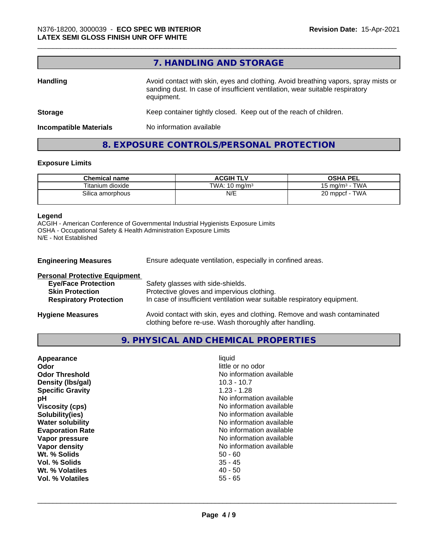# **7. HANDLING AND STORAGE**

| <b>Handling</b>               | Avoid contact with skin, eyes and clothing. Avoid breathing vapors, spray mists or<br>sanding dust. In case of insufficient ventilation, wear suitable respiratory<br>equipment. |  |
|-------------------------------|----------------------------------------------------------------------------------------------------------------------------------------------------------------------------------|--|
| <b>Storage</b>                | Keep container tightly closed. Keep out of the reach of children.                                                                                                                |  |
| <b>Incompatible Materials</b> | No information available                                                                                                                                                         |  |

# **8. EXPOSURE CONTROLS/PERSONAL PROTECTION**

#### **Exposure Limits**

| <b>Chemical name</b> | <b>ACGIH TLV</b>         | <b>OSHA PEL</b>                            |
|----------------------|--------------------------|--------------------------------------------|
| Titanium dioxide     | TWA: $10 \text{ ma/m}^3$ | <b>TWA</b><br>15 mg/m <sup>3</sup> $\cdot$ |
| Silica amorphous     | N/E                      | 20 mppcf - TWA                             |

#### **Legend**

ACGIH - American Conference of Governmental Industrial Hygienists Exposure Limits OSHA - Occupational Safety & Health Administration Exposure Limits N/E - Not Established

| <b>Engineering Measures</b>          | Ensure adequate ventilation, especially in confined areas.               |
|--------------------------------------|--------------------------------------------------------------------------|
| <b>Personal Protective Equipment</b> |                                                                          |
| <b>Eye/Face Protection</b>           | Safety glasses with side-shields.                                        |
| <b>Skin Protection</b>               | Protective gloves and impervious clothing.                               |
| <b>Respiratory Protection</b>        | In case of insufficient ventilation wear suitable respiratory equipment. |
|                                      |                                                                          |

**Hygiene Measures** Avoid contact with skin, eyes and clothing. Remove and wash contaminated clothing before re-use. Wash thoroughly after handling.

**9. PHYSICAL AND CHEMICAL PROPERTIES**

| Appearance              | liquid                   |
|-------------------------|--------------------------|
| Odor                    | little or no odor        |
| <b>Odor Threshold</b>   | No information available |
| Density (Ibs/gal)       | $10.3 - 10.7$            |
| <b>Specific Gravity</b> | $1.23 - 1.28$            |
| рH                      | No information available |
| <b>Viscosity (cps)</b>  | No information available |
| Solubility(ies)         | No information available |
| <b>Water solubility</b> | No information available |
| <b>Evaporation Rate</b> | No information available |
| Vapor pressure          | No information available |
| Vapor density           | No information available |
| Wt. % Solids            | $50 - 60$                |
| Vol. % Solids           | $35 - 45$                |
| Wt. % Volatiles         | $40 - 50$                |
| Vol. % Volatiles        | $55 - 65$                |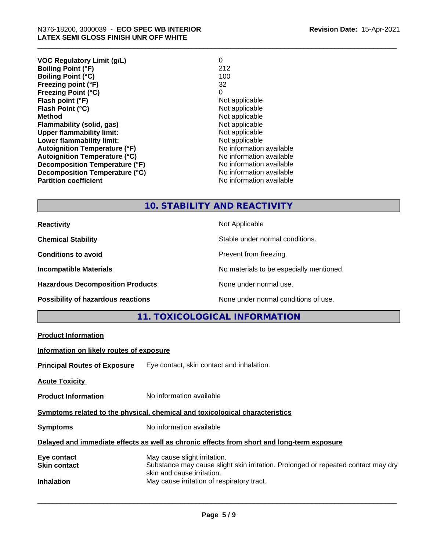| <b>VOC Regulatory Limit (g/L)</b>    | 0                        |
|--------------------------------------|--------------------------|
| <b>Boiling Point (°F)</b>            | 212                      |
| <b>Boiling Point (°C)</b>            | 100                      |
| Freezing point (°F)                  | 32                       |
| <b>Freezing Point (°C)</b>           | 0                        |
| Flash point (°F)                     | Not applicable           |
| Flash Point (°C)                     | Not applicable           |
| Method                               | Not applicable           |
| Flammability (solid, gas)            | Not applicable           |
| <b>Upper flammability limit:</b>     | Not applicable           |
| Lower flammability limit:            | Not applicable           |
| <b>Autoignition Temperature (°F)</b> | No information available |
| <b>Autoignition Temperature (°C)</b> | No information available |
| Decomposition Temperature (°F)       | No information available |
| Decomposition Temperature (°C)       | No information available |
| <b>Partition coefficient</b>         | No information available |
|                                      |                          |

# **10. STABILITY AND REACTIVITY**

| <b>Reactivity</b>                       | Not Applicable                           |
|-----------------------------------------|------------------------------------------|
| <b>Chemical Stability</b>               | Stable under normal conditions.          |
| <b>Conditions to avoid</b>              | Prevent from freezing.                   |
| <b>Incompatible Materials</b>           | No materials to be especially mentioned. |
| <b>Hazardous Decomposition Products</b> | None under normal use.                   |
| Possibility of hazardous reactions      | None under normal conditions of use.     |

# **11. TOXICOLOGICAL INFORMATION**

|                                          | ▎▏▏▕▕ <del></del> ❤▎▎▎▏░▔▏▏▏▏▏▏▏▏▏▏▏▏▏▏▏▏▏▏▏▏▏▏▏▏▏▏                                                                                             |
|------------------------------------------|-------------------------------------------------------------------------------------------------------------------------------------------------|
| <b>Product Information</b>               |                                                                                                                                                 |
| Information on likely routes of exposure |                                                                                                                                                 |
|                                          | <b>Principal Routes of Exposure</b> Eye contact, skin contact and inhalation.                                                                   |
| <b>Acute Toxicity</b>                    |                                                                                                                                                 |
| <b>Product Information</b>               | No information available                                                                                                                        |
|                                          | Symptoms related to the physical, chemical and toxicological characteristics                                                                    |
| <b>Symptoms</b>                          | No information available                                                                                                                        |
|                                          | Delayed and immediate effects as well as chronic effects from short and long-term exposure                                                      |
| Eye contact<br><b>Skin contact</b>       | May cause slight irritation.<br>Substance may cause slight skin irritation. Prolonged or repeated contact may dry<br>skin and cause irritation. |
| <b>Inhalation</b>                        | May cause irritation of respiratory tract.                                                                                                      |
|                                          |                                                                                                                                                 |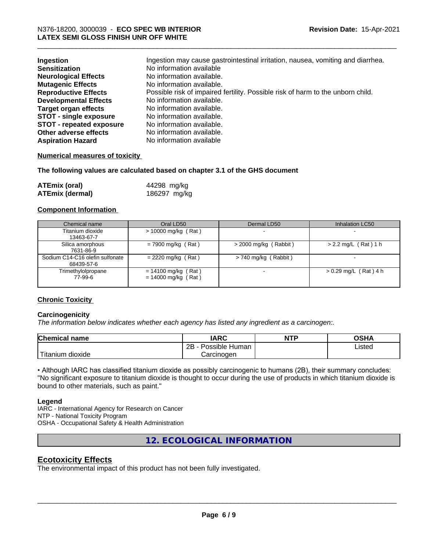| Ingestion<br><b>Sensitization</b> | Ingestion may cause gastrointestinal irritation, nausea, vomiting and diarrhea.<br>No information available |
|-----------------------------------|-------------------------------------------------------------------------------------------------------------|
| <b>Neurological Effects</b>       | No information available.                                                                                   |
| <b>Mutagenic Effects</b>          | No information available.                                                                                   |
| <b>Reproductive Effects</b>       | Possible risk of impaired fertility. Possible risk of harm to the unborn child.                             |
| <b>Developmental Effects</b>      | No information available.                                                                                   |
| <b>Target organ effects</b>       | No information available.                                                                                   |
| <b>STOT - single exposure</b>     | No information available.                                                                                   |
| <b>STOT - repeated exposure</b>   | No information available.                                                                                   |
| Other adverse effects             | No information available.                                                                                   |
| <b>Aspiration Hazard</b>          | No information available                                                                                    |

#### **Numerical measures of toxicity**

**The following values are calculated based on chapter 3.1 of the GHS document**

| <b>ATEmix (oral)</b>   | 44298 mg/kg  |
|------------------------|--------------|
| <b>ATEmix (dermal)</b> | 186297 mg/kg |

#### **Component Information**

| Chemical name                                 | Oral LD50                                      | Dermal LD50             | Inhalation LC50          |
|-----------------------------------------------|------------------------------------------------|-------------------------|--------------------------|
| Titanium dioxide<br>13463-67-7                | $> 10000$ mg/kg (Rat)                          |                         |                          |
| Silica amorphous<br>7631-86-9                 | $= 7900$ mg/kg (Rat)                           | $>$ 2000 mg/kg (Rabbit) | $> 2.2$ mg/L (Rat) 1 h   |
| Sodium C14-C16 olefin sulfonate<br>68439-57-6 | $= 2220$ mg/kg (Rat)                           | $> 740$ mg/kg (Rabbit)  | $\overline{\phantom{0}}$ |
| Trimethylolpropane<br>77-99-6                 | $= 14100$ mg/kg (Rat)<br>$= 14000$ mg/kg (Rat) |                         | $> 0.29$ mg/L (Rat) 4 h  |

#### **Chronic Toxicity**

#### **Carcinogenicity**

*The information below indicateswhether each agency has listed any ingredient as a carcinogen:.*

| <b>Chemical name</b>    | <b>IARC</b>          | <b>NTP</b> | <b>OSHA</b> |  |
|-------------------------|----------------------|------------|-------------|--|
|                         | 2B<br>Possible Human |            | Listed      |  |
| ' Titanium<br>ı dioxide | Carcinogen           |            |             |  |

• Although IARC has classified titanium dioxide as possibly carcinogenic to humans (2B), their summary concludes: "No significant exposure to titanium dioxide is thought to occur during the use of products in which titanium dioxide is bound to other materials, such as paint."

#### **Legend**

IARC - International Agency for Research on Cancer NTP - National Toxicity Program OSHA - Occupational Safety & Health Administration

**12. ECOLOGICAL INFORMATION**

### **Ecotoxicity Effects**

The environmental impact of this product has not been fully investigated.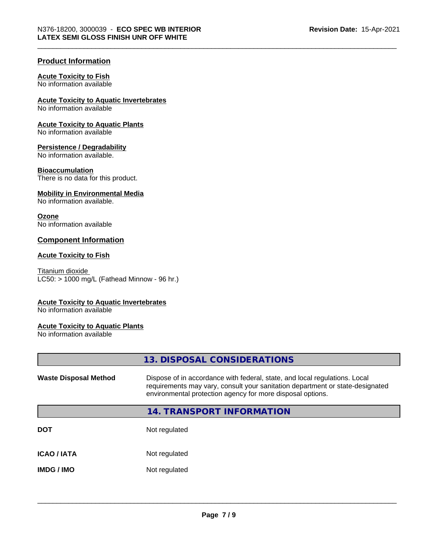#### **Product Information**

#### **Acute Toxicity to Fish**

No information available

#### **Acute Toxicity to Aquatic Invertebrates**

No information available

#### **Acute Toxicity to Aquatic Plants**

No information available

#### **Persistence / Degradability**

No information available.

#### **Bioaccumulation**

There is no data for this product.

## **Mobility in Environmental Media**

No information available.

#### **Ozone**

No information available

#### **Component Information**

#### **Acute Toxicity to Fish**

Titanium dioxide  $LC50:$  > 1000 mg/L (Fathead Minnow - 96 hr.)

#### **Acute Toxicity to Aquatic Invertebrates**

No information available

#### **Acute Toxicity to Aquatic Plants**

No information available

|                              | 13. DISPOSAL CONSIDERATIONS                                                                                                                                                                                               |
|------------------------------|---------------------------------------------------------------------------------------------------------------------------------------------------------------------------------------------------------------------------|
| <b>Waste Disposal Method</b> | Dispose of in accordance with federal, state, and local regulations. Local<br>requirements may vary, consult your sanitation department or state-designated<br>environmental protection agency for more disposal options. |
|                              | 14. TRANSPORT INFORMATION                                                                                                                                                                                                 |
| <b>DOT</b>                   | Not regulated                                                                                                                                                                                                             |
| <b>ICAO / IATA</b>           | Not regulated                                                                                                                                                                                                             |
| <b>IMDG / IMO</b>            | Not regulated                                                                                                                                                                                                             |
|                              |                                                                                                                                                                                                                           |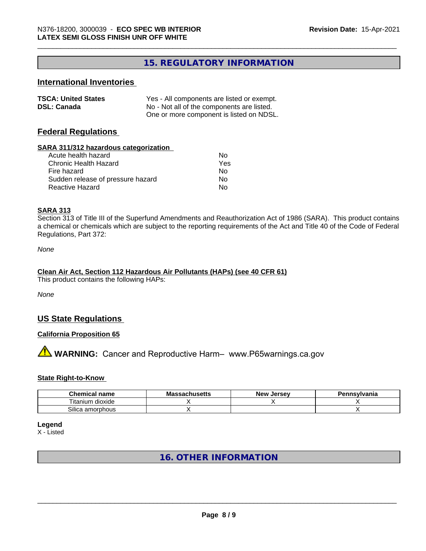# **15. REGULATORY INFORMATION**

### **International Inventories**

| <b>TSCA: United States</b> | Yes - All components are listed or exempt. |
|----------------------------|--------------------------------------------|
| <b>DSL: Canada</b>         | No - Not all of the components are listed. |
|                            | One or more component is listed on NDSL.   |

#### **Federal Regulations**

#### **SARA 311/312 hazardous categorization**

| Acute health hazard               | Nο  |
|-----------------------------------|-----|
| Chronic Health Hazard             | Yes |
| Fire hazard                       | Nο  |
| Sudden release of pressure hazard | Nο  |
| Reactive Hazard                   | N٥  |

#### **SARA 313**

Section 313 of Title III of the Superfund Amendments and Reauthorization Act of 1986 (SARA). This product contains a chemical or chemicals which are subject to the reporting requirements of the Act and Title 40 of the Code of Federal Regulations, Part 372:

*None*

# **Clean Air Act,Section 112 Hazardous Air Pollutants (HAPs) (see 40 CFR 61)**

This product contains the following HAPs:

*None*

### **US State Regulations**

#### **California Proposition 65**

**AVIMARNING:** Cancer and Reproductive Harm– www.P65warnings.ca.gov

#### **State Right-to-Know**

| <br>Chemical<br>'I name               | . <b>. .</b> .<br>IVId<br>aunuacua | <b>Jerse</b> v<br><b>Nev</b> | าnsvlvania |
|---------------------------------------|------------------------------------|------------------------------|------------|
| .<br>--<br>dioxide<br>۱um<br>, ıtanıı |                                    |                              |            |
| <b>A</b> .<br>silicə<br>u amorphous.  |                                    |                              |            |

**Legend**

X - Listed

# **16. OTHER INFORMATION**